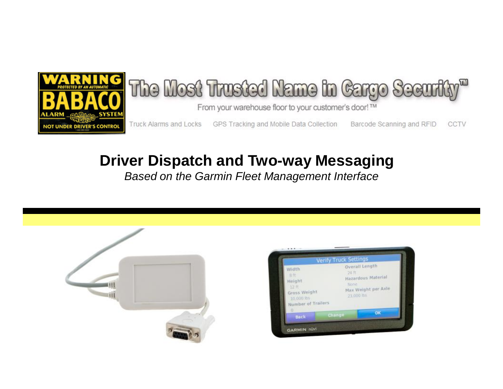

# **Driver Dispatch and Two-way Messaging**

*Based on the Garmin Fleet Management Interface*

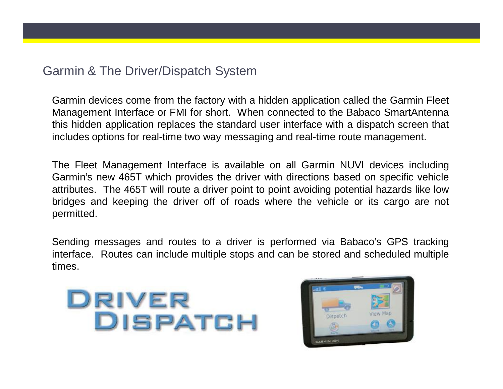# Garmin & The Driver/Dispatch System

Garmin devices come from the factory with a hidden application called the Garmin Fleet Management Interface or FMI for short. When connected to the Babaco SmartAntenna this hidden application replaces the standard user interface with a dispatch screen that includes options for real-time two way messaging and real-time route management.

The Fleet Management Interface is available on all Garmin NUVI devices including Garmin's new 465T which provides the driver with directions based on specific vehicle attributes. The 465T will route a driver point to point avoiding potential hazards like low bridges and keeping the driver off of roads where the vehicle or its cargo are not permitted.

Sending messages and routes to a driver is performed via Babaco's GPS tracking interface. Routes can include multiple stops and can be stored and scheduled multiple times.



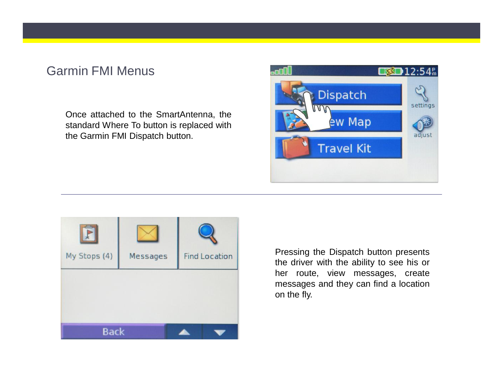# Garmin FMI Menus

Once attached to the SmartAntenna, the standard Where To button is replaced with the Garmin FMI Dispatch button.





Pressing the Dispatch button presents the driver with the ability to see his or her route, view messages, create messages and they can find a location on the fly.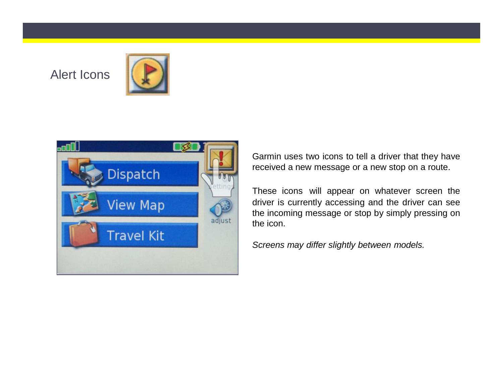# Alert Icons





Garmin uses two icons to tell a driver that they have received a new message or a new stop on a route.

These icons will appear on whatever screen the driver is currently accessing and the driver can see the incoming message or stop by simply pressing on the icon.

*Screens may differ slightly between models.*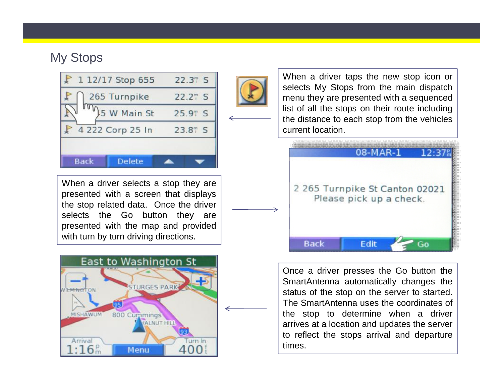# My Stops



When a driver selects a stop they are presented with a screen that displays the stop related data. Once the driver selects the Go button they are presented with the map and provided with turn by turn driving directions.





When a driver taps the new stop icon or selects My Stops from the main dispatch menu they are presented with a sequenced list of all the stops on their route including the distance to each stop from the vehicles current location.



Once a driver presses the Go button the SmartAntenna automatically changes the status of the stop on the server to started. The SmartAntenna uses the coordinates of the stop to determine when a driver arrives at a location and updates the server to reflect the stops arrival and departure times.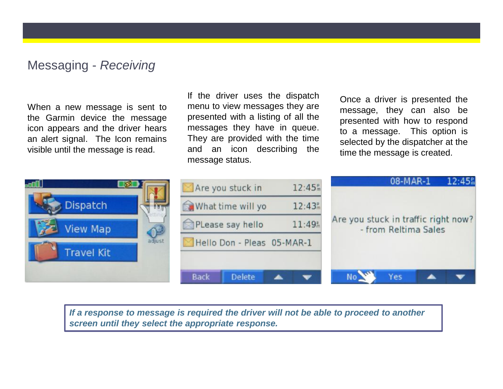#### Messaging - *Receiving*

When a new message is sent to the Garmin device the message icon appears and the driver hears an alert signal. The Icon remains visible until the message is read.

If the driver uses the dispatch menu to view messages they are presented with a listing of all the messages they have in queue. They are provided with the time and an icon describing the message status.

Once a driver is presented the message, they can also be presented with how to respond to a message. This option is selected by the dispatcher at the time the message is created.



*If a response to message is required the driver will not be able to proceed to another screen until they select the appropriate response.*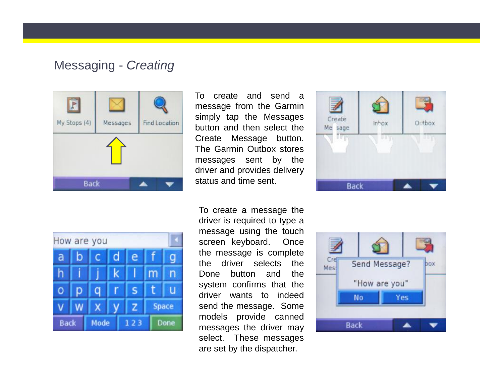#### Messaging - *Creating*



To create and send a message from the Garmin simply tap the Messages button and then select the Create Message button. The Garmin Outbox stores messages sent by the driver and provides delivery status and time sent.



To create a message the driver is required to type a message using the touch screen keyboard. Once the message is complete the driver selects the Done button and the system confirms that the driver wants to indeed send the message. Some models provide canned messages the driver may select. These messages are set by the dispatcher.



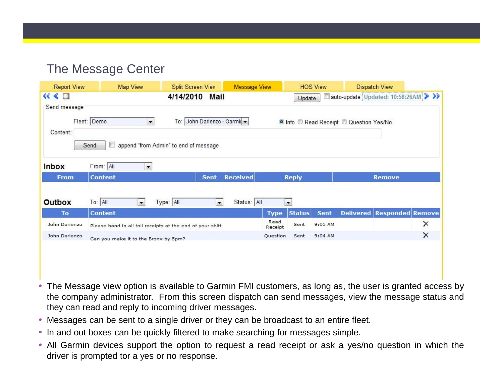# The Message Center

| <b>Report View</b>                 | Map View                                                  | <b>Split Screen Viev</b>                                            | <b>Message View</b> |                 |                                                | <b>HOS View</b> |                                         | <b>Dispatch View</b>              |          |
|------------------------------------|-----------------------------------------------------------|---------------------------------------------------------------------|---------------------|-----------------|------------------------------------------------|-----------------|-----------------------------------------|-----------------------------------|----------|
| $\ll$ $\ll$ $\Box$<br>Send message | 4/14/2010 Mail                                            |                                                                     |                     |                 | auto-update Updated: 10:58:26AM >>>><br>Update |                 |                                         |                                   |          |
| Content:                           | Fleet: Demo<br>$\vert$ $\vert$<br>$\Box$<br>Send          | To: John Darienzo - Garmin<br>append "from Admin" to end of message |                     |                 |                                                |                 | O Info C Read Receipt C Question Yes/No |                                   |          |
| <b>Inbox</b>                       | From: All<br>$\blacksquare$                               |                                                                     |                     |                 |                                                |                 |                                         |                                   |          |
| <b>From</b>                        | <b>Content</b>                                            | <b>Sent</b>                                                         | <b>Received</b>     | <b>Reply</b>    |                                                |                 | <b>Remove</b>                           |                                   |          |
| <b>Outbox</b>                      | To: All<br>×.                                             | Type: All<br>$\overline{\phantom{a}}$                               | Status: All         |                 | $\overline{\phantom{a}}$                       |                 |                                         |                                   |          |
| To                                 | <b>Content</b>                                            |                                                                     |                     | <b>Type</b>     | <b>Status</b>                                  | <b>Sent</b>     |                                         | <b>Delivered Responded Remove</b> |          |
| John Darienzo                      | Please hand in all toll receipts at the end of your shift |                                                                     |                     | Read<br>Receipt | Sent                                           | 9:05 AM         |                                         |                                   | ×        |
| John Darienzo                      | Can you make it to the Bronx by 5pm?                      |                                                                     |                     | Question        | Sent                                           | $9:04$ AM       |                                         |                                   | $\times$ |
|                                    |                                                           |                                                                     |                     |                 |                                                |                 |                                         |                                   |          |
|                                    |                                                           |                                                                     |                     |                 |                                                |                 |                                         |                                   |          |

- The Message view option is available to Garmin FMI customers, as long as, the user is granted access by the company administrator. From this screen dispatch can send messages, view the message status and they can read and reply to incoming driver messages.
- Messages can be sent to a single driver or they can be broadcast to an entire fleet.
- In and out boxes can be quickly filtered to make searching for messages simple.
- All Garmin devices support the option to request a read receipt or ask a yes/no question in which the driver is prompted tor a yes or no response.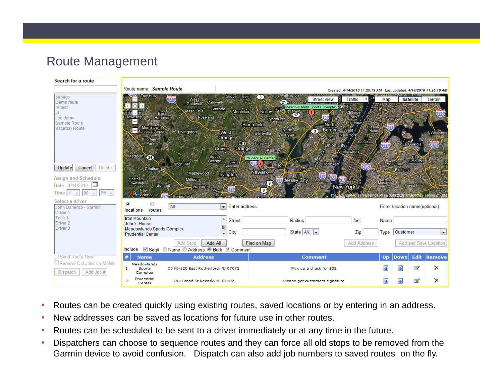# Route Management



- Routes can be created quickly using existing routes, saved locations or by entering in an address.
- New addresses can be saved as locations for future use in other routes.
- Routes can be scheduled to be sent to a driver immediately or at any time in the future.
- Dispatchers can choose to sequence routes and they can force all old stops to be removed from the Garmin device to avoid confusion. Dispatch can also add job numbers to saved routes on the fly.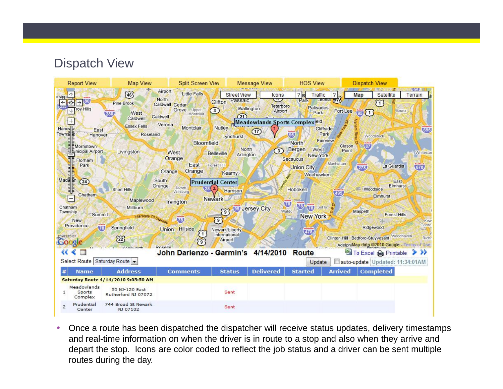# Dispatch View



• Once a route has been dispatched the dispatcher will receive status updates, delivery timestamps and real-time information on when the driver is in route to a stop and also when they arrive and depart the stop. Icons are color coded to reflect the job status and a driver can be sent multiple routes during the day.